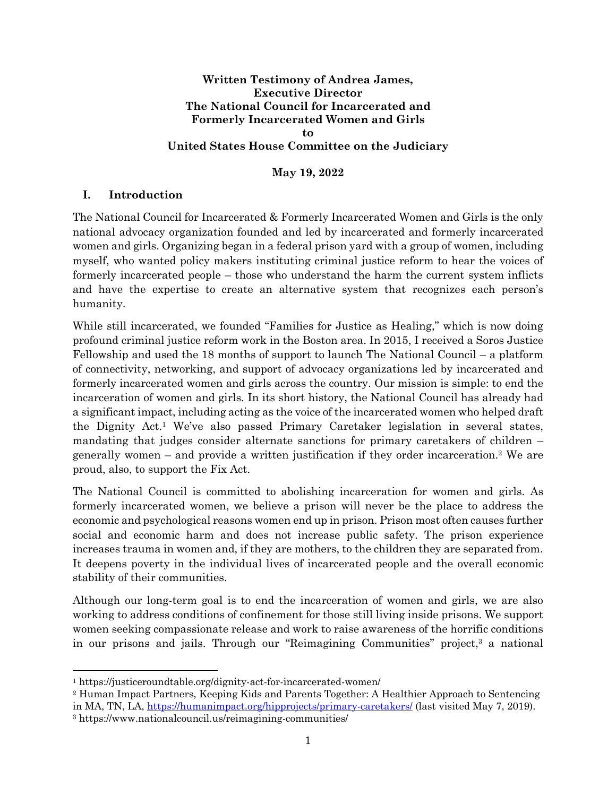#### **Written Testimony of Andrea James, Executive Director The National Council for Incarcerated and Formerly Incarcerated Women and Girls to United States House Committee on the Judiciary**

#### **May 19, 2022**

#### **I. Introduction**

The National Council for Incarcerated & Formerly Incarcerated Women and Girls is the only national advocacy organization founded and led by incarcerated and formerly incarcerated women and girls. Organizing began in a federal prison yard with a group of women, including myself, who wanted policy makers instituting criminal justice reform to hear the voices of formerly incarcerated people – those who understand the harm the current system inflicts and have the expertise to create an alternative system that recognizes each person's humanity.

While still incarcerated, we founded "Families for Justice as Healing," which is now doing profound criminal justice reform work in the Boston area. In 2015, I received a Soros Justice Fellowship and used the 18 months of support to launch The National Council – a platform of connectivity, networking, and support of advocacy organizations led by incarcerated and formerly incarcerated women and girls across the country. Our mission is simple: to end the incarceration of women and girls. In its short history, the National Council has already had a significant impact, including acting as the voice of the incarcerated women who helped draft the Dignity Act.1 We've also passed Primary Caretaker legislation in several states, mandating that judges consider alternate sanctions for primary caretakers of children – generally women – and provide a written justification if they order incarceration.2 We are proud, also, to support the Fix Act.

The National Council is committed to abolishing incarceration for women and girls. As formerly incarcerated women, we believe a prison will never be the place to address the economic and psychological reasons women end up in prison. Prison most often causes further social and economic harm and does not increase public safety. The prison experience increases trauma in women and, if they are mothers, to the children they are separated from. It deepens poverty in the individual lives of incarcerated people and the overall economic stability of their communities.

Although our long-term goal is to end the incarceration of women and girls, we are also working to address conditions of confinement for those still living inside prisons. We support women seeking compassionate release and work to raise awareness of the horrific conditions in our prisons and jails. Through our "Reimagining Communities" project,<sup>3</sup> a national

<sup>1</sup> https://justiceroundtable.org/dignity-act-for-incarcerated-women/

<sup>2</sup> Human Impact Partners, Keeping Kids and Parents Together: A Healthier Approach to Sentencing in MA, TN, LA, https://humanimpact.org/hipprojects/primary-caretakers/ (last visited May 7, 2019).

<sup>3</sup> https://www.nationalcouncil.us/reimagining-communities/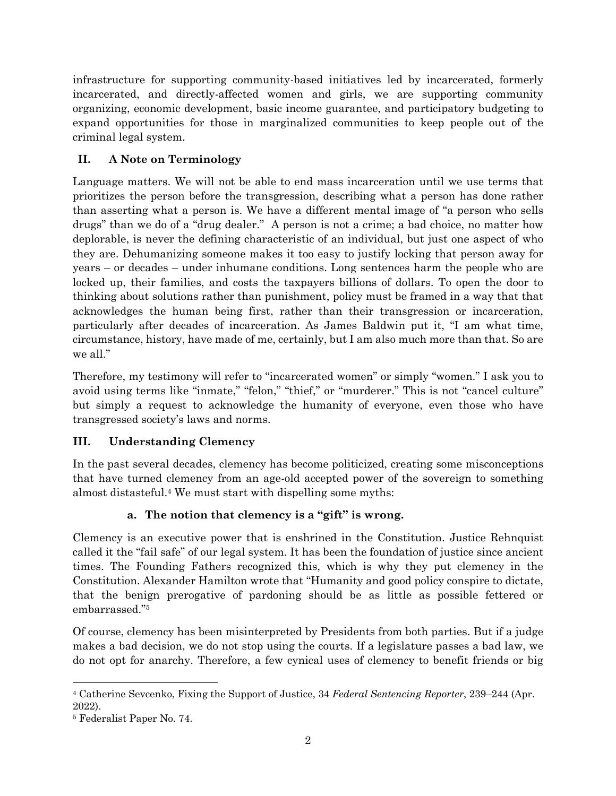infrastructure for supporting community-based initiatives led by incarcerated, formerly incarcerated, and directly-affected women and girls, we are supporting community organizing, economic development, basic income guarantee, and participatory budgeting to expand opportunities for those in marginalized communities to keep people out of the criminal legal system.

# **II. A Note on Terminology**

Language matters. We will not be able to end mass incarceration until we use terms that prioritizes the person before the transgression, describing what a person has done rather than asserting what a person is. We have a different mental image of "a person who sells drugs" than we do of a "drug dealer." A person is not a crime; a bad choice, no matter how deplorable, is never the defining characteristic of an individual, but just one aspect of who they are. Dehumanizing someone makes it too easy to justify locking that person away for years – or decades – under inhumane conditions. Long sentences harm the people who are locked up, their families, and costs the taxpayers billions of dollars. To open the door to thinking about solutions rather than punishment, policy must be framed in a way that that acknowledges the human being first, rather than their transgression or incarceration, particularly after decades of incarceration. As James Baldwin put it, "I am what time, circumstance, history, have made of me, certainly, but I am also much more than that. So are we all."

Therefore, my testimony will refer to "incarcerated women" or simply "women." I ask you to avoid using terms like "inmate," "felon," "thief," or "murderer." This is not "cancel culture" but simply a request to acknowledge the humanity of everyone, even those who have transgressed society's laws and norms.

## **III. Understanding Clemency**

In the past several decades, clemency has become politicized, creating some misconceptions that have turned clemency from an age-old accepted power of the sovereign to something almost distasteful.4 We must start with dispelling some myths:

## **a. The notion that clemency is a "gift" is wrong.**

Clemency is an executive power that is enshrined in the Constitution. Justice Rehnquist called it the "fail safe" of our legal system. It has been the foundation of justice since ancient times. The Founding Fathers recognized this, which is why they put clemency in the Constitution. Alexander Hamilton wrote that "Humanity and good policy conspire to dictate, that the benign prerogative of pardoning should be as little as possible fettered or embarrassed."5

Of course, clemency has been misinterpreted by Presidents from both parties. But if a judge makes a bad decision, we do not stop using the courts. If a legislature passes a bad law, we do not opt for anarchy. Therefore, a few cynical uses of clemency to benefit friends or big

<sup>4</sup> Catherine Sevcenko, Fixing the Support of Justice, 34 *Federal Sentencing Reporter*, 239–244 (Apr. 2022).

<sup>5</sup> Federalist Paper No. 74.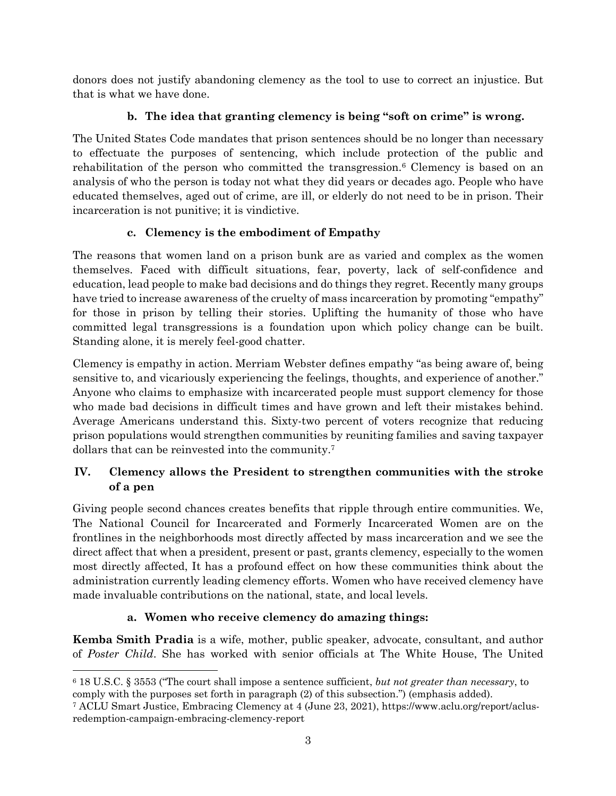donors does not justify abandoning clemency as the tool to use to correct an injustice. But that is what we have done.

#### **b. The idea that granting clemency is being "soft on crime" is wrong.**

The United States Code mandates that prison sentences should be no longer than necessary to effectuate the purposes of sentencing, which include protection of the public and rehabilitation of the person who committed the transgression.<sup>6</sup> Clemency is based on an analysis of who the person is today not what they did years or decades ago. People who have educated themselves, aged out of crime, are ill, or elderly do not need to be in prison. Their incarceration is not punitive; it is vindictive.

## **c. Clemency is the embodiment of Empathy**

The reasons that women land on a prison bunk are as varied and complex as the women themselves. Faced with difficult situations, fear, poverty, lack of self-confidence and education, lead people to make bad decisions and do things they regret. Recently many groups have tried to increase awareness of the cruelty of mass incarceration by promoting "empathy" for those in prison by telling their stories. Uplifting the humanity of those who have committed legal transgressions is a foundation upon which policy change can be built. Standing alone, it is merely feel-good chatter.

Clemency is empathy in action. Merriam Webster defines empathy "as being aware of, being sensitive to, and vicariously experiencing the feelings, thoughts, and experience of another." Anyone who claims to emphasize with incarcerated people must support clemency for those who made bad decisions in difficult times and have grown and left their mistakes behind. Average Americans understand this. Sixty-two percent of voters recognize that reducing prison populations would strengthen communities by reuniting families and saving taxpayer dollars that can be reinvested into the community.7

## **IV. Clemency allows the President to strengthen communities with the stroke of a pen**

Giving people second chances creates benefits that ripple through entire communities. We, The National Council for Incarcerated and Formerly Incarcerated Women are on the frontlines in the neighborhoods most directly affected by mass incarceration and we see the direct affect that when a president, present or past, grants clemency, especially to the women most directly affected, It has a profound effect on how these communities think about the administration currently leading clemency efforts. Women who have received clemency have made invaluable contributions on the national, state, and local levels.

## **a. Women who receive clemency do amazing things:**

**Kemba Smith Pradia** is a wife, mother, public speaker, advocate, consultant, and author of *Poster Child*. She has worked with senior officials at The White House, The United

<sup>6</sup> 18 U.S.C. § 3553 ("The court shall impose a sentence sufficient, *but not greater than necessary*, to comply with the purposes set forth in paragraph (2) of this subsection.") (emphasis added).

<sup>7</sup> ACLU Smart Justice, Embracing Clemency at 4 (June 23, 2021), https://www.aclu.org/report/aclusredemption-campaign-embracing-clemency-report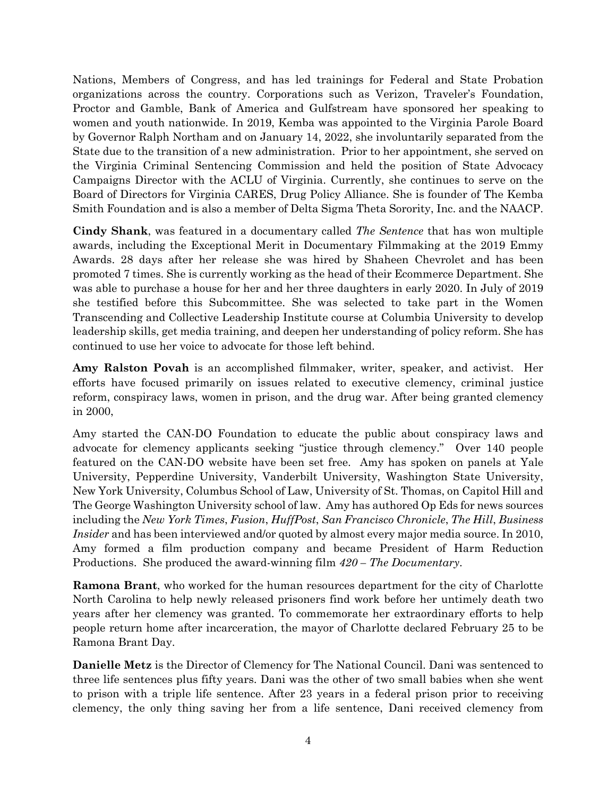Nations, Members of Congress, and has led trainings for Federal and State Probation organizations across the country. Corporations such as Verizon, Traveler's Foundation, Proctor and Gamble, Bank of America and Gulfstream have sponsored her speaking to women and youth nationwide. In 2019, Kemba was appointed to the Virginia Parole Board by Governor Ralph Northam and on January 14, 2022, she involuntarily separated from the State due to the transition of a new administration. Prior to her appointment, she served on the Virginia Criminal Sentencing Commission and held the position of State Advocacy Campaigns Director with the ACLU of Virginia. Currently, she continues to serve on the Board of Directors for Virginia CARES, Drug Policy Alliance. She is founder of The Kemba Smith Foundation and is also a member of Delta Sigma Theta Sorority, Inc. and the NAACP.

**Cindy Shank**, was featured in a documentary called *The Sentence* that has won multiple awards, including the Exceptional Merit in Documentary Filmmaking at the 2019 Emmy Awards. 28 days after her release she was hired by Shaheen Chevrolet and has been promoted 7 times. She is currently working as the head of their Ecommerce Department. She was able to purchase a house for her and her three daughters in early 2020. In July of 2019 she testified before this Subcommittee. She was selected to take part in the Women Transcending and Collective Leadership Institute course at Columbia University to develop leadership skills, get media training, and deepen her understanding of policy reform. She has continued to use her voice to advocate for those left behind.

**Amy Ralston Povah** is an accomplished filmmaker, writer, speaker, and activist. Her efforts have focused primarily on issues related to executive clemency, criminal justice reform, conspiracy laws, women in prison, and the drug war. After being granted clemency in 2000,

Amy started the CAN-DO Foundation to educate the public about conspiracy laws and advocate for clemency applicants seeking "justice through clemency." Over 140 people featured on the CAN-DO website have been set free. Amy has spoken on panels at Yale University, Pepperdine University, Vanderbilt University, Washington State University, New York University, Columbus School of Law, University of St. Thomas, on Capitol Hill and The George Washington University school of law. Amy has authored Op Eds for news sources including the *New York Times*, *Fusion*, *HuffPost*, *San Francisco Chronicle*, *The Hill*, *Business Insider* and has been interviewed and/or quoted by almost every major media source. In 2010, Amy formed a film production company and became President of Harm Reduction Productions. She produced the award-winning film *420 – The Documentary*.

**Ramona Brant**, who worked for the human resources department for the city of Charlotte North Carolina to help newly released prisoners find work before her untimely death two years after her clemency was granted. To commemorate her extraordinary efforts to help people return home after incarceration, the mayor of Charlotte declared February 25 to be Ramona Brant Day.

**Danielle Metz** is the Director of Clemency for The National Council. Dani was sentenced to three life sentences plus fifty years. Dani was the other of two small babies when she went to prison with a triple life sentence. After 23 years in a federal prison prior to receiving clemency, the only thing saving her from a life sentence, Dani received clemency from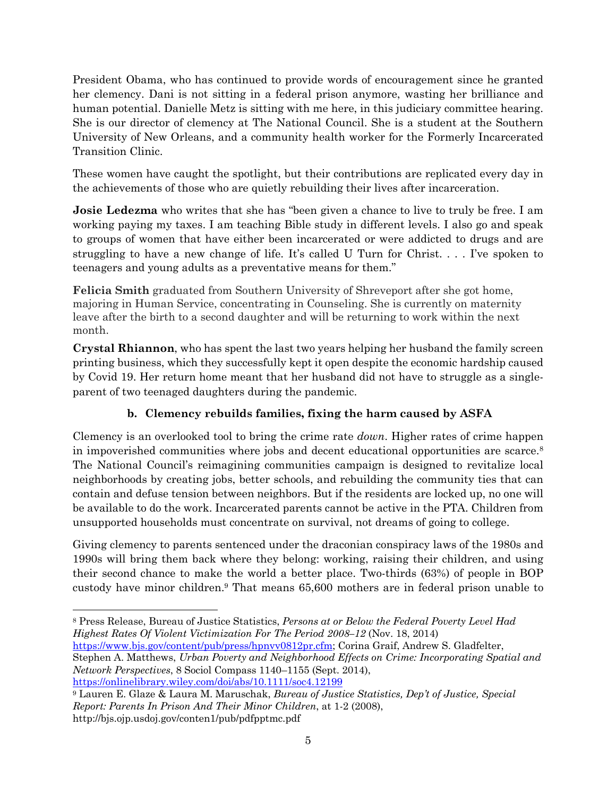President Obama, who has continued to provide words of encouragement since he granted her clemency. Dani is not sitting in a federal prison anymore, wasting her brilliance and human potential. Danielle Metz is sitting with me here, in this judiciary committee hearing. She is our director of clemency at The National Council. She is a student at the Southern University of New Orleans, and a community health worker for the Formerly Incarcerated Transition Clinic.

These women have caught the spotlight, but their contributions are replicated every day in the achievements of those who are quietly rebuilding their lives after incarceration.

**Josie Ledezma** who writes that she has "been given a chance to live to truly be free. I am working paying my taxes. I am teaching Bible study in different levels. I also go and speak to groups of women that have either been incarcerated or were addicted to drugs and are struggling to have a new change of life. It's called U Turn for Christ. . . . I've spoken to teenagers and young adults as a preventative means for them."

**Felicia Smith** graduated from Southern University of Shreveport after she got home, majoring in Human Service, concentrating in Counseling. She is currently on maternity leave after the birth to a second daughter and will be returning to work within the next month.

**Crystal Rhiannon**, who has spent the last two years helping her husband the family screen printing business, which they successfully kept it open despite the economic hardship caused by Covid 19. Her return home meant that her husband did not have to struggle as a singleparent of two teenaged daughters during the pandemic.

## **b. Clemency rebuilds families, fixing the harm caused by ASFA**

Clemency is an overlooked tool to bring the crime rate *down*. Higher rates of crime happen in impoverished communities where jobs and decent educational opportunities are scarce.<sup>8</sup> The National Council's reimagining communities campaign is designed to revitalize local neighborhoods by creating jobs, better schools, and rebuilding the community ties that can contain and defuse tension between neighbors. But if the residents are locked up, no one will be available to do the work. Incarcerated parents cannot be active in the PTA. Children from unsupported households must concentrate on survival, not dreams of going to college.

Giving clemency to parents sentenced under the draconian conspiracy laws of the 1980s and 1990s will bring them back where they belong: working, raising their children, and using their second chance to make the world a better place. Two-thirds (63%) of people in BOP custody have minor children.9 That means 65,600 mothers are in federal prison unable to

<sup>8</sup> Press Release, Bureau of Justice Statistics, *Persons at or Below the Federal Poverty Level Had Highest Rates Of Violent Victimization For The Period 2008–12* (Nov. 18, 2014)

https://www.bjs.gov/content/pub/press/hpnvv0812pr.cfm; Corina Graif, Andrew S. Gladfelter, Stephen A. Matthews, *Urban Poverty and Neighborhood Effects on Crime: Incorporating Spatial and Network Perspectives*, 8 Sociol Compass 1140–1155 (Sept. 2014), https://onlinelibrary.wiley.com/doi/abs/10.1111/soc4.12199

<sup>9</sup> Lauren E. Glaze & Laura M. Maruschak, *Bureau of Justice Statistics, Dep't of Justice, Special Report: Parents In Prison And Their Minor Children*, at 1-2 (2008), http://bjs.ojp.usdoj.gov/conten1/pub/pdfpptmc.pdf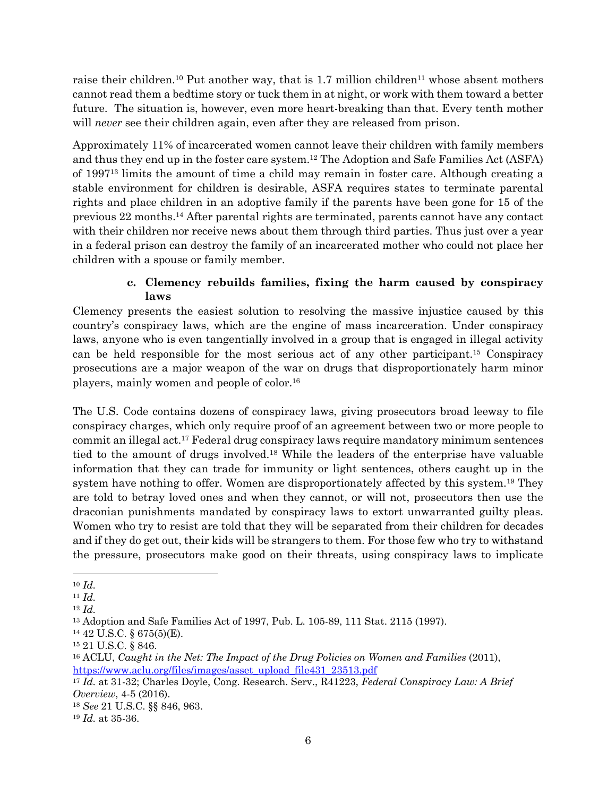raise their children.<sup>10</sup> Put another way, that is 1.7 million children<sup>11</sup> whose absent mothers cannot read them a bedtime story or tuck them in at night, or work with them toward a better future. The situation is, however, even more heart-breaking than that. Every tenth mother will *never* see their children again, even after they are released from prison.

Approximately 11% of incarcerated women cannot leave their children with family members and thus they end up in the foster care system.12 The Adoption and Safe Families Act (ASFA) of 199713 limits the amount of time a child may remain in foster care. Although creating a stable environment for children is desirable, ASFA requires states to terminate parental rights and place children in an adoptive family if the parents have been gone for 15 of the previous 22 months.14 After parental rights are terminated, parents cannot have any contact with their children nor receive news about them through third parties. Thus just over a year in a federal prison can destroy the family of an incarcerated mother who could not place her children with a spouse or family member.

#### **c. Clemency rebuilds families, fixing the harm caused by conspiracy laws**

Clemency presents the easiest solution to resolving the massive injustice caused by this country's conspiracy laws, which are the engine of mass incarceration. Under conspiracy laws, anyone who is even tangentially involved in a group that is engaged in illegal activity can be held responsible for the most serious act of any other participant.15 Conspiracy prosecutions are a major weapon of the war on drugs that disproportionately harm minor players, mainly women and people of color.16

The U.S. Code contains dozens of conspiracy laws, giving prosecutors broad leeway to file conspiracy charges, which only require proof of an agreement between two or more people to commit an illegal act.17 Federal drug conspiracy laws require mandatory minimum sentences tied to the amount of drugs involved.18 While the leaders of the enterprise have valuable information that they can trade for immunity or light sentences, others caught up in the system have nothing to offer. Women are disproportionately affected by this system.<sup>19</sup> They are told to betray loved ones and when they cannot, or will not, prosecutors then use the draconian punishments mandated by conspiracy laws to extort unwarranted guilty pleas. Women who try to resist are told that they will be separated from their children for decades and if they do get out, their kids will be strangers to them. For those few who try to withstand the pressure, prosecutors make good on their threats, using conspiracy laws to implicate

<sup>10</sup> *Id.*

<sup>11</sup> *Id.*

<sup>12</sup> *Id.*

<sup>13</sup> Adoption and Safe Families Act of 1997, Pub. L. 105-89, 111 Stat. 2115 (1997).

<sup>14</sup> 42 U.S.C. § 675(5)(E).

<sup>15</sup> 21 U.S.C. § 846.

<sup>16</sup> ACLU, *Caught in the Net: The Impact of the Drug Policies on Women and Families* (2011), https://www.aclu.org/files/images/asset\_upload\_file431\_23513.pdf

<sup>17</sup> *Id.* at 31-32; Charles Doyle, Cong. Research. Serv., R41223, *Federal Conspiracy Law: A Brief Overview*, 4-5 (2016).

<sup>18</sup> *See* 21 U.S.C. §§ 846, 963.

<sup>19</sup> *Id.* at 35-36.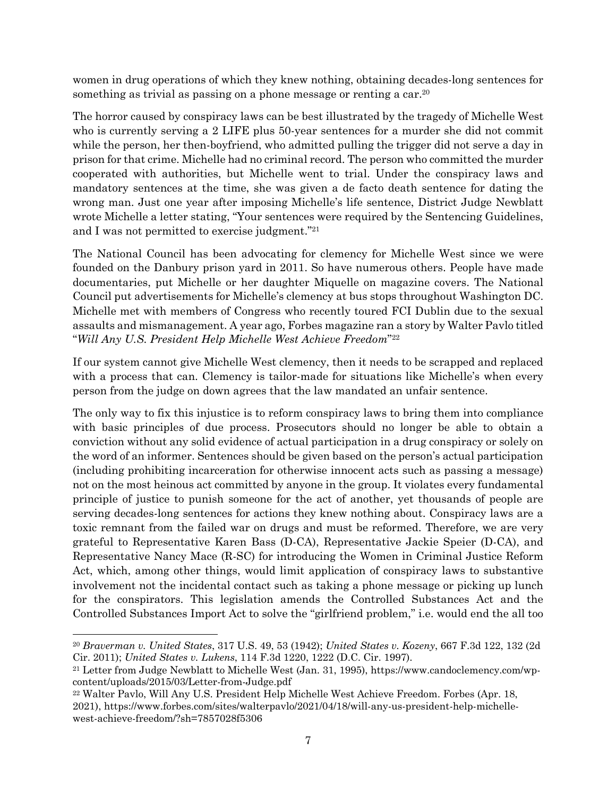women in drug operations of which they knew nothing, obtaining decades-long sentences for something as trivial as passing on a phone message or renting a car.20

The horror caused by conspiracy laws can be best illustrated by the tragedy of Michelle West who is currently serving a 2 LIFE plus 50-year sentences for a murder she did not commit while the person, her then-boyfriend, who admitted pulling the trigger did not serve a day in prison for that crime. Michelle had no criminal record. The person who committed the murder cooperated with authorities, but Michelle went to trial. Under the conspiracy laws and mandatory sentences at the time, she was given a de facto death sentence for dating the wrong man. Just one year after imposing Michelle's life sentence, District Judge Newblatt wrote Michelle a letter stating, "Your sentences were required by the Sentencing Guidelines, and I was not permitted to exercise judgment."21

The National Council has been advocating for clemency for Michelle West since we were founded on the Danbury prison yard in 2011. So have numerous others. People have made documentaries, put Michelle or her daughter Miquelle on magazine covers. The National Council put advertisements for Michelle's clemency at bus stops throughout Washington DC. Michelle met with members of Congress who recently toured FCI Dublin due to the sexual assaults and mismanagement. A year ago, Forbes magazine ran a story by Walter Pavlo titled "*Will Any U.S. President Help Michelle West Achieve Freedom*"22

If our system cannot give Michelle West clemency, then it needs to be scrapped and replaced with a process that can. Clemency is tailor-made for situations like Michelle's when every person from the judge on down agrees that the law mandated an unfair sentence.

The only way to fix this injustice is to reform conspiracy laws to bring them into compliance with basic principles of due process. Prosecutors should no longer be able to obtain a conviction without any solid evidence of actual participation in a drug conspiracy or solely on the word of an informer. Sentences should be given based on the person's actual participation (including prohibiting incarceration for otherwise innocent acts such as passing a message) not on the most heinous act committed by anyone in the group. It violates every fundamental principle of justice to punish someone for the act of another, yet thousands of people are serving decades-long sentences for actions they knew nothing about. Conspiracy laws are a toxic remnant from the failed war on drugs and must be reformed. Therefore, we are very grateful to Representative Karen Bass (D-CA), Representative Jackie Speier (D-CA), and Representative Nancy Mace (R-SC) for introducing the Women in Criminal Justice Reform Act, which, among other things, would limit application of conspiracy laws to substantive involvement not the incidental contact such as taking a phone message or picking up lunch for the conspirators. This legislation amends the Controlled Substances Act and the Controlled Substances Import Act to solve the "girlfriend problem," i.e. would end the all too

<sup>20</sup> *Braverman v. United States*, 317 U.S. 49, 53 (1942); *United States v. Kozeny*, 667 F.3d 122, 132 (2d Cir. 2011); *United States v. Lukens*, 114 F.3d 1220, 1222 (D.C. Cir. 1997).

<sup>21</sup> Letter from Judge Newblatt to Michelle West (Jan. 31, 1995), https://www.candoclemency.com/wpcontent/uploads/2015/03/Letter-from-Judge.pdf

<sup>22</sup> Walter Pavlo, Will Any U.S. President Help Michelle West Achieve Freedom. Forbes (Apr. 18, 2021), https://www.forbes.com/sites/walterpavlo/2021/04/18/will-any-us-president-help-michellewest-achieve-freedom/?sh=7857028f5306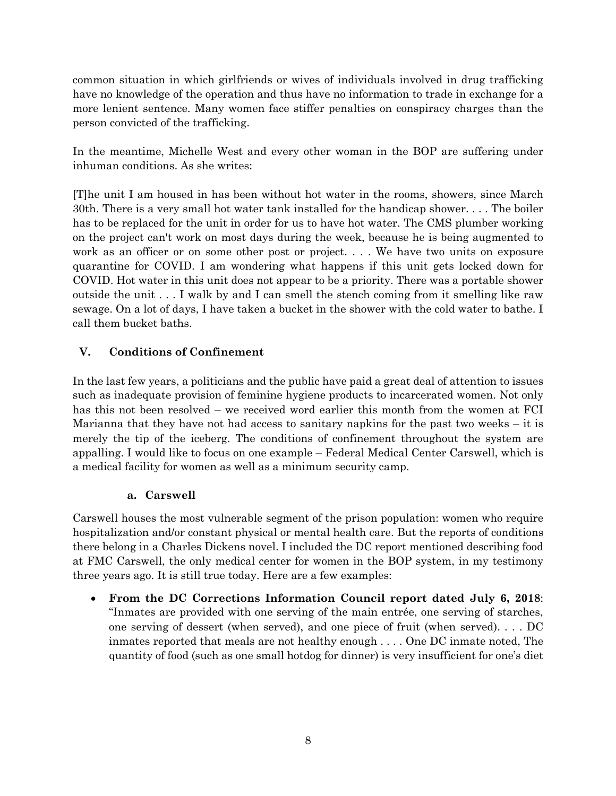common situation in which girlfriends or wives of individuals involved in drug trafficking have no knowledge of the operation and thus have no information to trade in exchange for a more lenient sentence. Many women face stiffer penalties on conspiracy charges than the person convicted of the trafficking.

In the meantime, Michelle West and every other woman in the BOP are suffering under inhuman conditions. As she writes:

[T]he unit I am housed in has been without hot water in the rooms, showers, since March 30th. There is a very small hot water tank installed for the handicap shower. . . . The boiler has to be replaced for the unit in order for us to have hot water. The CMS plumber working on the project can't work on most days during the week, because he is being augmented to work as an officer or on some other post or project. . . . We have two units on exposure quarantine for COVID. I am wondering what happens if this unit gets locked down for COVID. Hot water in this unit does not appear to be a priority. There was a portable shower outside the unit . . . I walk by and I can smell the stench coming from it smelling like raw sewage. On a lot of days, I have taken a bucket in the shower with the cold water to bathe. I call them bucket baths.

## **V. Conditions of Confinement**

In the last few years, a politicians and the public have paid a great deal of attention to issues such as inadequate provision of feminine hygiene products to incarcerated women. Not only has this not been resolved – we received word earlier this month from the women at FCI Marianna that they have not had access to sanitary napkins for the past two weeks  $-$  it is merely the tip of the iceberg. The conditions of confinement throughout the system are appalling. I would like to focus on one example – Federal Medical Center Carswell, which is a medical facility for women as well as a minimum security camp.

#### **a. Carswell**

Carswell houses the most vulnerable segment of the prison population: women who require hospitalization and/or constant physical or mental health care. But the reports of conditions there belong in a Charles Dickens novel. I included the DC report mentioned describing food at FMC Carswell, the only medical center for women in the BOP system, in my testimony three years ago. It is still true today. Here are a few examples:

• **From the DC Corrections Information Council report dated July 6, 2018**: "Inmates are provided with one serving of the main entrée, one serving of starches, one serving of dessert (when served), and one piece of fruit (when served). . . . DC inmates reported that meals are not healthy enough . . . . One DC inmate noted, The quantity of food (such as one small hotdog for dinner) is very insufficient for one's diet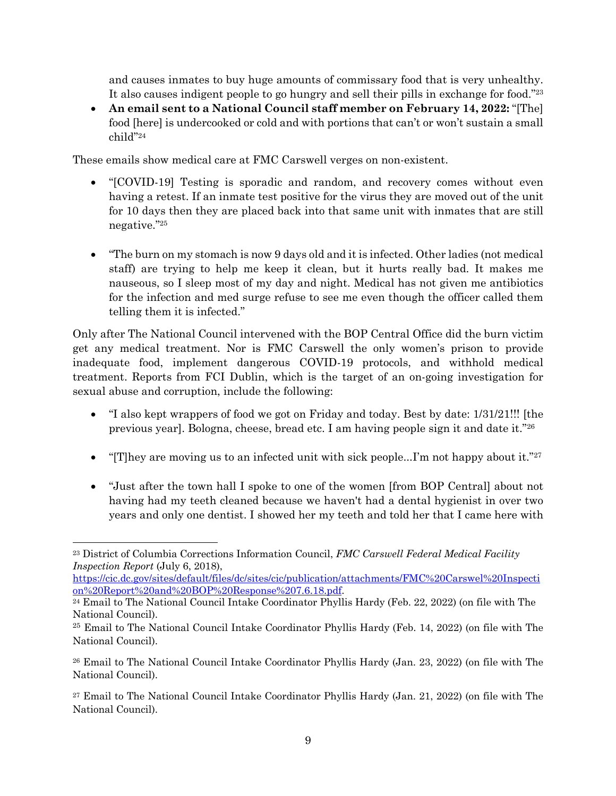and causes inmates to buy huge amounts of commissary food that is very unhealthy. It also causes indigent people to go hungry and sell their pills in exchange for food."23

• **An email sent to a National Council staff member on February 14, 2022:** "[The] food [here] is undercooked or cold and with portions that can't or won't sustain a small child"24

These emails show medical care at FMC Carswell verges on non-existent.

- "[COVID-19] Testing is sporadic and random, and recovery comes without even having a retest. If an inmate test positive for the virus they are moved out of the unit for 10 days then they are placed back into that same unit with inmates that are still negative."25
- "The burn on my stomach is now 9 days old and it is infected. Other ladies (not medical staff) are trying to help me keep it clean, but it hurts really bad. It makes me nauseous, so I sleep most of my day and night. Medical has not given me antibiotics for the infection and med surge refuse to see me even though the officer called them telling them it is infected."

Only after The National Council intervened with the BOP Central Office did the burn victim get any medical treatment. Nor is FMC Carswell the only women's prison to provide inadequate food, implement dangerous COVID-19 protocols, and withhold medical treatment. Reports from FCI Dublin, which is the target of an on-going investigation for sexual abuse and corruption, include the following:

- "I also kept wrappers of food we got on Friday and today. Best by date: 1/31/21!!! [the previous year]. Bologna, cheese, bread etc. I am having people sign it and date it."26
- "[T]hey are moving us to an infected unit with sick people...I'm not happy about it."<sup>27</sup>
- "Just after the town hall I spoke to one of the women [from BOP Central] about not having had my teeth cleaned because we haven't had a dental hygienist in over two years and only one dentist. I showed her my teeth and told her that I came here with

<sup>23</sup> District of Columbia Corrections Information Council, *FMC Carswell Federal Medical Facility Inspection Report* (July 6, 2018),

https://cic.dc.gov/sites/default/files/dc/sites/cic/publication/attachments/FMC%20Carswel%20Inspecti on%20Report%20and%20BOP%20Response%207.6.18.pdf.

<sup>24</sup> Email to The National Council Intake Coordinator Phyllis Hardy (Feb. 22, 2022) (on file with The National Council).

<sup>25</sup> Email to The National Council Intake Coordinator Phyllis Hardy (Feb. 14, 2022) (on file with The National Council).

<sup>26</sup> Email to The National Council Intake Coordinator Phyllis Hardy (Jan. 23, 2022) (on file with The National Council).

<sup>27</sup> Email to The National Council Intake Coordinator Phyllis Hardy (Jan. 21, 2022) (on file with The National Council).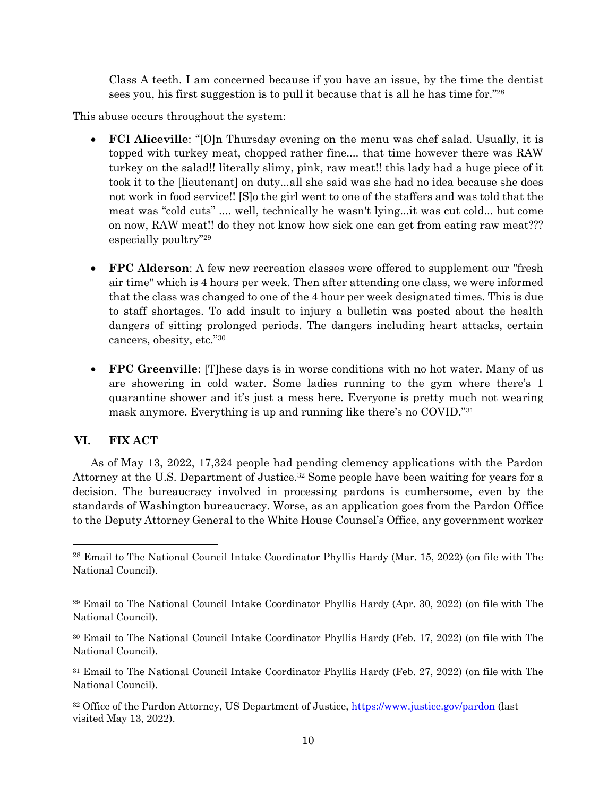Class A teeth. I am concerned because if you have an issue, by the time the dentist sees you, his first suggestion is to pull it because that is all he has time for."28

This abuse occurs throughout the system:

- **FCI Aliceville**: "[O]n Thursday evening on the menu was chef salad. Usually, it is topped with turkey meat, chopped rather fine.... that time however there was RAW turkey on the salad!! literally slimy, pink, raw meat!! this lady had a huge piece of it took it to the [lieutenant] on duty...all she said was she had no idea because she does not work in food service!! [S]o the girl went to one of the staffers and was told that the meat was "cold cuts" .... well, technically he wasn't lying...it was cut cold... but come on now, RAW meat!! do they not know how sick one can get from eating raw meat??? especially poultry"29
- **FPC Alderson**: A few new recreation classes were offered to supplement our "fresh air time" which is 4 hours per week. Then after attending one class, we were informed that the class was changed to one of the 4 hour per week designated times. This is due to staff shortages. To add insult to injury a bulletin was posted about the health dangers of sitting prolonged periods. The dangers including heart attacks, certain cancers, obesity, etc."30
- **FPC Greenville**: [T]hese days is in worse conditions with no hot water. Many of us are showering in cold water. Some ladies running to the gym where there's 1 quarantine shower and it's just a mess here. Everyone is pretty much not wearing mask anymore. Everything is up and running like there's no COVID."31

#### **VI. FIX ACT**

As of May 13, 2022, 17,324 people had pending clemency applications with the Pardon Attorney at the U.S. Department of Justice.32 Some people have been waiting for years for a decision. The bureaucracy involved in processing pardons is cumbersome, even by the standards of Washington bureaucracy. Worse, as an application goes from the Pardon Office to the Deputy Attorney General to the White House Counsel's Office, any government worker

<sup>28</sup> Email to The National Council Intake Coordinator Phyllis Hardy (Mar. 15, 2022) (on file with The National Council).

<sup>29</sup> Email to The National Council Intake Coordinator Phyllis Hardy (Apr. 30, 2022) (on file with The National Council).

<sup>30</sup> Email to The National Council Intake Coordinator Phyllis Hardy (Feb. 17, 2022) (on file with The National Council).

<sup>31</sup> Email to The National Council Intake Coordinator Phyllis Hardy (Feb. 27, 2022) (on file with The National Council).

<sup>32</sup> Office of the Pardon Attorney, US Department of Justice, https://www.justice.gov/pardon (last visited May 13, 2022).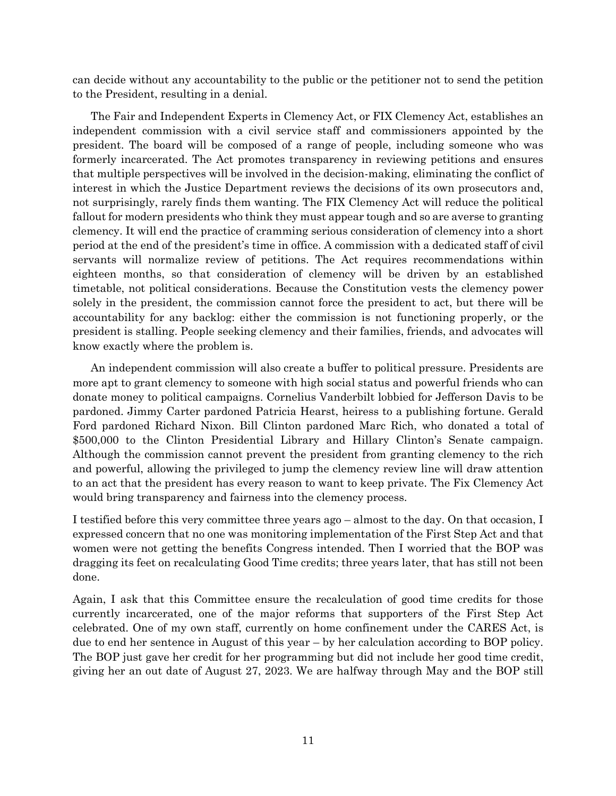can decide without any accountability to the public or the petitioner not to send the petition to the President, resulting in a denial.

The Fair and Independent Experts in Clemency Act, or FIX Clemency Act, establishes an independent commission with a civil service staff and commissioners appointed by the president. The board will be composed of a range of people, including someone who was formerly incarcerated. The Act promotes transparency in reviewing petitions and ensures that multiple perspectives will be involved in the decision-making, eliminating the conflict of interest in which the Justice Department reviews the decisions of its own prosecutors and, not surprisingly, rarely finds them wanting. The FIX Clemency Act will reduce the political fallout for modern presidents who think they must appear tough and so are averse to granting clemency. It will end the practice of cramming serious consideration of clemency into a short period at the end of the president's time in office. A commission with a dedicated staff of civil servants will normalize review of petitions. The Act requires recommendations within eighteen months, so that consideration of clemency will be driven by an established timetable, not political considerations. Because the Constitution vests the clemency power solely in the president, the commission cannot force the president to act, but there will be accountability for any backlog: either the commission is not functioning properly, or the president is stalling. People seeking clemency and their families, friends, and advocates will know exactly where the problem is.

An independent commission will also create a buffer to political pressure. Presidents are more apt to grant clemency to someone with high social status and powerful friends who can donate money to political campaigns. Cornelius Vanderbilt lobbied for Jefferson Davis to be pardoned. Jimmy Carter pardoned Patricia Hearst, heiress to a publishing fortune. Gerald Ford pardoned Richard Nixon. Bill Clinton pardoned Marc Rich, who donated a total of \$500,000 to the Clinton Presidential Library and Hillary Clinton's Senate campaign. Although the commission cannot prevent the president from granting clemency to the rich and powerful, allowing the privileged to jump the clemency review line will draw attention to an act that the president has every reason to want to keep private. The Fix Clemency Act would bring transparency and fairness into the clemency process.

I testified before this very committee three years ago – almost to the day. On that occasion, I expressed concern that no one was monitoring implementation of the First Step Act and that women were not getting the benefits Congress intended. Then I worried that the BOP was dragging its feet on recalculating Good Time credits; three years later, that has still not been done.

Again, I ask that this Committee ensure the recalculation of good time credits for those currently incarcerated, one of the major reforms that supporters of the First Step Act celebrated. One of my own staff, currently on home confinement under the CARES Act, is due to end her sentence in August of this year – by her calculation according to BOP policy. The BOP just gave her credit for her programming but did not include her good time credit, giving her an out date of August 27, 2023. We are halfway through May and the BOP still